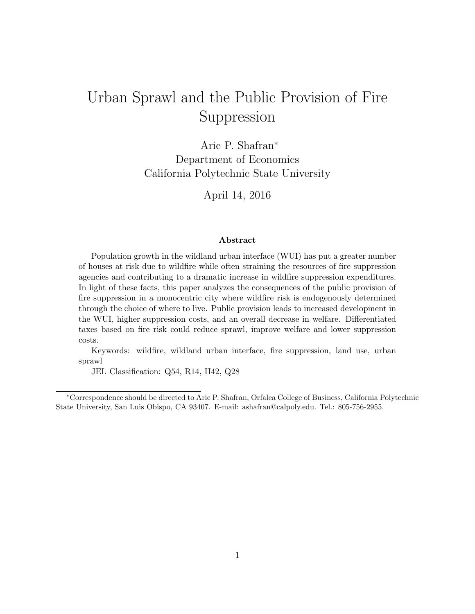# Urban Sprawl and the Public Provision of Fire Suppression

Aric P. Shafran<sup>∗</sup> Department of Economics California Polytechnic State University

April 14, 2016

#### Abstract

Population growth in the wildland urban interface (WUI) has put a greater number of houses at risk due to wildfire while often straining the resources of fire suppression agencies and contributing to a dramatic increase in wildfire suppression expenditures. In light of these facts, this paper analyzes the consequences of the public provision of fire suppression in a monocentric city where wildfire risk is endogenously determined through the choice of where to live. Public provision leads to increased development in the WUI, higher suppression costs, and an overall decrease in welfare. Differentiated taxes based on fire risk could reduce sprawl, improve welfare and lower suppression costs.

Keywords: wildfire, wildland urban interface, fire suppression, land use, urban sprawl

JEL Classification: Q54, R14, H42, Q28

<sup>∗</sup>Correspondence should be directed to Aric P. Shafran, Orfalea College of Business, California Polytechnic State University, San Luis Obispo, CA 93407. E-mail: ashafran@calpoly.edu. Tel.: 805-756-2955.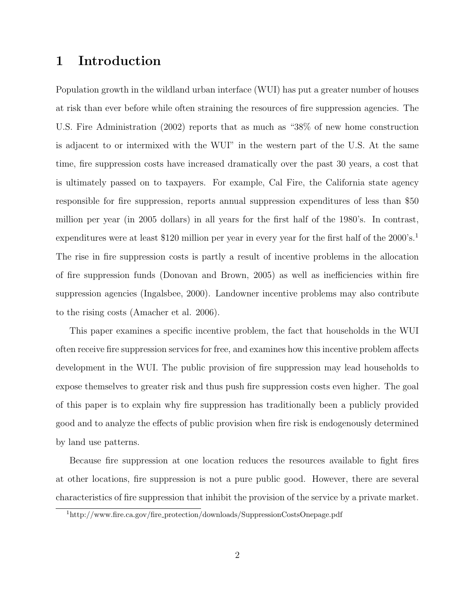## 1 Introduction

Population growth in the wildland urban interface (WUI) has put a greater number of houses at risk than ever before while often straining the resources of fire suppression agencies. The U.S. Fire Administration (2002) reports that as much as "38% of new home construction is adjacent to or intermixed with the WUI" in the western part of the U.S. At the same time, fire suppression costs have increased dramatically over the past 30 years, a cost that is ultimately passed on to taxpayers. For example, Cal Fire, the California state agency responsible for fire suppression, reports annual suppression expenditures of less than \$50 million per year (in 2005 dollars) in all years for the first half of the 1980's. In contrast, expenditures were at least \$120 million per year in every year for the first half of the 2000's.<sup>1</sup> The rise in fire suppression costs is partly a result of incentive problems in the allocation of fire suppression funds (Donovan and Brown, 2005) as well as inefficiencies within fire suppression agencies (Ingalsbee, 2000). Landowner incentive problems may also contribute to the rising costs (Amacher et al. 2006).

This paper examines a specific incentive problem, the fact that households in the WUI often receive fire suppression services for free, and examines how this incentive problem affects development in the WUI. The public provision of fire suppression may lead households to expose themselves to greater risk and thus push fire suppression costs even higher. The goal of this paper is to explain why fire suppression has traditionally been a publicly provided good and to analyze the effects of public provision when fire risk is endogenously determined by land use patterns.

Because fire suppression at one location reduces the resources available to fight fires at other locations, fire suppression is not a pure public good. However, there are several characteristics of fire suppression that inhibit the provision of the service by a private market.

<sup>1</sup>http://www.fire.ca.gov/fire protection/downloads/SuppressionCostsOnepage.pdf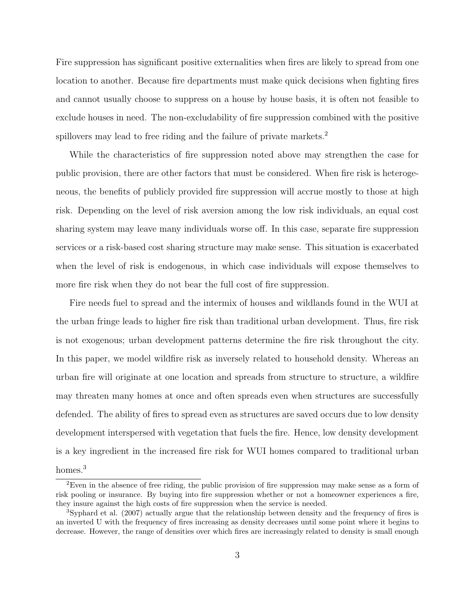Fire suppression has significant positive externalities when fires are likely to spread from one location to another. Because fire departments must make quick decisions when fighting fires and cannot usually choose to suppress on a house by house basis, it is often not feasible to exclude houses in need. The non-excludability of fire suppression combined with the positive spillovers may lead to free riding and the failure of private markets.<sup>2</sup>

While the characteristics of fire suppression noted above may strengthen the case for public provision, there are other factors that must be considered. When fire risk is heterogeneous, the benefits of publicly provided fire suppression will accrue mostly to those at high risk. Depending on the level of risk aversion among the low risk individuals, an equal cost sharing system may leave many individuals worse off. In this case, separate fire suppression services or a risk-based cost sharing structure may make sense. This situation is exacerbated when the level of risk is endogenous, in which case individuals will expose themselves to more fire risk when they do not bear the full cost of fire suppression.

Fire needs fuel to spread and the intermix of houses and wildlands found in the WUI at the urban fringe leads to higher fire risk than traditional urban development. Thus, fire risk is not exogenous; urban development patterns determine the fire risk throughout the city. In this paper, we model wildfire risk as inversely related to household density. Whereas an urban fire will originate at one location and spreads from structure to structure, a wildfire may threaten many homes at once and often spreads even when structures are successfully defended. The ability of fires to spread even as structures are saved occurs due to low density development interspersed with vegetation that fuels the fire. Hence, low density development is a key ingredient in the increased fire risk for WUI homes compared to traditional urban homes.<sup>3</sup>

<sup>2</sup>Even in the absence of free riding, the public provision of fire suppression may make sense as a form of risk pooling or insurance. By buying into fire suppression whether or not a homeowner experiences a fire, they insure against the high costs of fire suppression when the service is needed.

<sup>3</sup>Syphard et al. (2007) actually argue that the relationship between density and the frequency of fires is an inverted U with the frequency of fires increasing as density decreases until some point where it begins to decrease. However, the range of densities over which fires are increasingly related to density is small enough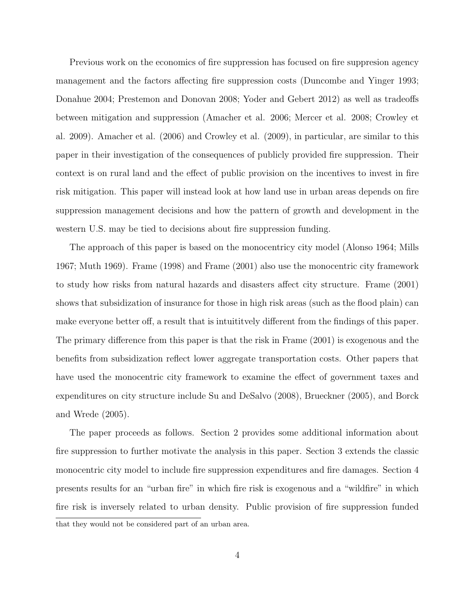Previous work on the economics of fire suppression has focused on fire suppresion agency management and the factors affecting fire suppression costs (Duncombe and Yinger 1993; Donahue 2004; Prestemon and Donovan 2008; Yoder and Gebert 2012) as well as tradeoffs between mitigation and suppression (Amacher et al. 2006; Mercer et al. 2008; Crowley et al. 2009). Amacher et al. (2006) and Crowley et al. (2009), in particular, are similar to this paper in their investigation of the consequences of publicly provided fire suppression. Their context is on rural land and the effect of public provision on the incentives to invest in fire risk mitigation. This paper will instead look at how land use in urban areas depends on fire suppression management decisions and how the pattern of growth and development in the western U.S. may be tied to decisions about fire suppression funding.

The approach of this paper is based on the monocentricy city model (Alonso 1964; Mills 1967; Muth 1969). Frame (1998) and Frame (2001) also use the monocentric city framework to study how risks from natural hazards and disasters affect city structure. Frame (2001) shows that subsidization of insurance for those in high risk areas (such as the flood plain) can make everyone better off, a result that is intuititvely different from the findings of this paper. The primary difference from this paper is that the risk in Frame (2001) is exogenous and the benefits from subsidization reflect lower aggregate transportation costs. Other papers that have used the monocentric city framework to examine the effect of government taxes and expenditures on city structure include Su and DeSalvo (2008), Brueckner (2005), and Borck and Wrede (2005).

The paper proceeds as follows. Section 2 provides some additional information about fire suppression to further motivate the analysis in this paper. Section 3 extends the classic monocentric city model to include fire suppression expenditures and fire damages. Section 4 presents results for an "urban fire" in which fire risk is exogenous and a "wildfire" in which fire risk is inversely related to urban density. Public provision of fire suppression funded that they would not be considered part of an urban area.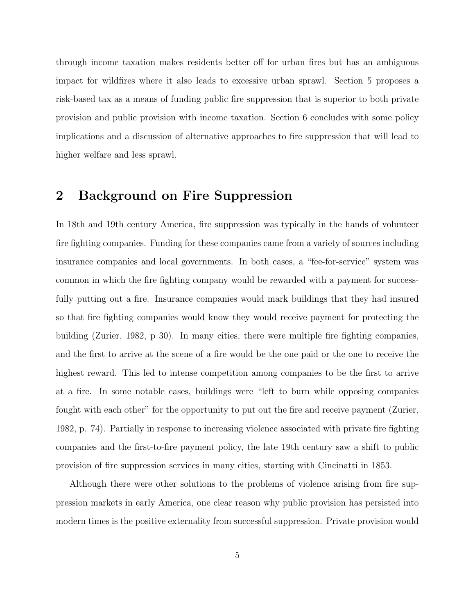through income taxation makes residents better off for urban fires but has an ambiguous impact for wildfires where it also leads to excessive urban sprawl. Section 5 proposes a risk-based tax as a means of funding public fire suppression that is superior to both private provision and public provision with income taxation. Section 6 concludes with some policy implications and a discussion of alternative approaches to fire suppression that will lead to higher welfare and less sprawl.

### 2 Background on Fire Suppression

In 18th and 19th century America, fire suppression was typically in the hands of volunteer fire fighting companies. Funding for these companies came from a variety of sources including insurance companies and local governments. In both cases, a "fee-for-service" system was common in which the fire fighting company would be rewarded with a payment for successfully putting out a fire. Insurance companies would mark buildings that they had insured so that fire fighting companies would know they would receive payment for protecting the building (Zurier, 1982, p 30). In many cities, there were multiple fire fighting companies, and the first to arrive at the scene of a fire would be the one paid or the one to receive the highest reward. This led to intense competition among companies to be the first to arrive at a fire. In some notable cases, buildings were "left to burn while opposing companies fought with each other" for the opportunity to put out the fire and receive payment (Zurier, 1982, p. 74). Partially in response to increasing violence associated with private fire fighting companies and the first-to-fire payment policy, the late 19th century saw a shift to public provision of fire suppression services in many cities, starting with Cincinatti in 1853.

Although there were other solutions to the problems of violence arising from fire suppression markets in early America, one clear reason why public provision has persisted into modern times is the positive externality from successful suppression. Private provision would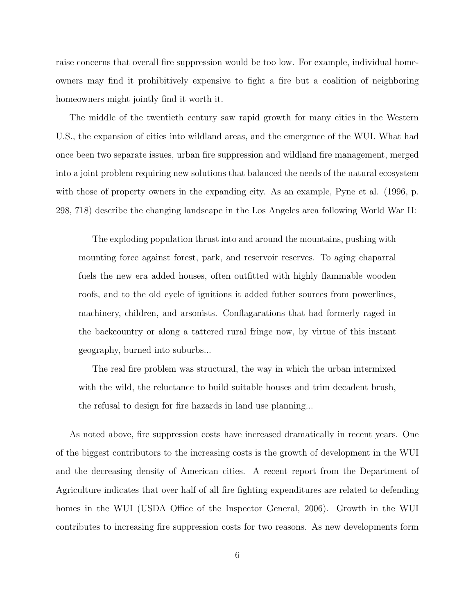raise concerns that overall fire suppression would be too low. For example, individual homeowners may find it prohibitively expensive to fight a fire but a coalition of neighboring homeowners might jointly find it worth it.

The middle of the twentieth century saw rapid growth for many cities in the Western U.S., the expansion of cities into wildland areas, and the emergence of the WUI. What had once been two separate issues, urban fire suppression and wildland fire management, merged into a joint problem requiring new solutions that balanced the needs of the natural ecosystem with those of property owners in the expanding city. As an example, Pyne et al. (1996, p. 298, 718) describe the changing landscape in the Los Angeles area following World War II:

The exploding population thrust into and around the mountains, pushing with mounting force against forest, park, and reservoir reserves. To aging chaparral fuels the new era added houses, often outfitted with highly flammable wooden roofs, and to the old cycle of ignitions it added futher sources from powerlines, machinery, children, and arsonists. Conflagarations that had formerly raged in the backcountry or along a tattered rural fringe now, by virtue of this instant geography, burned into suburbs...

The real fire problem was structural, the way in which the urban intermixed with the wild, the reluctance to build suitable houses and trim decadent brush, the refusal to design for fire hazards in land use planning...

As noted above, fire suppression costs have increased dramatically in recent years. One of the biggest contributors to the increasing costs is the growth of development in the WUI and the decreasing density of American cities. A recent report from the Department of Agriculture indicates that over half of all fire fighting expenditures are related to defending homes in the WUI (USDA Office of the Inspector General, 2006). Growth in the WUI contributes to increasing fire suppression costs for two reasons. As new developments form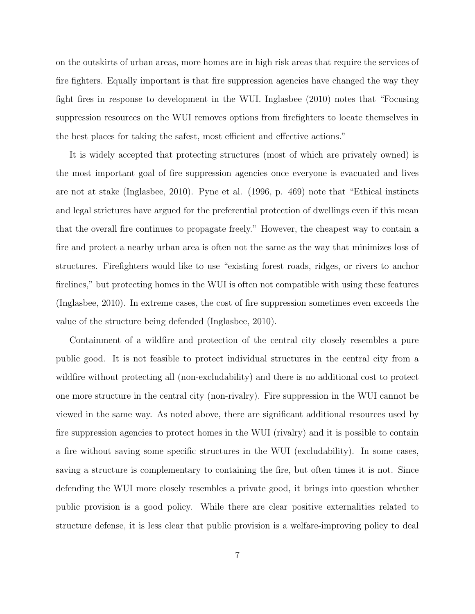on the outskirts of urban areas, more homes are in high risk areas that require the services of fire fighters. Equally important is that fire suppression agencies have changed the way they fight fires in response to development in the WUI. Inglasbee (2010) notes that "Focusing suppression resources on the WUI removes options from firefighters to locate themselves in the best places for taking the safest, most efficient and effective actions."

It is widely accepted that protecting structures (most of which are privately owned) is the most important goal of fire suppression agencies once everyone is evacuated and lives are not at stake (Inglasbee, 2010). Pyne et al. (1996, p. 469) note that "Ethical instincts and legal strictures have argued for the preferential protection of dwellings even if this mean that the overall fire continues to propagate freely." However, the cheapest way to contain a fire and protect a nearby urban area is often not the same as the way that minimizes loss of structures. Firefighters would like to use "existing forest roads, ridges, or rivers to anchor firelines," but protecting homes in the WUI is often not compatible with using these features (Inglasbee, 2010). In extreme cases, the cost of fire suppression sometimes even exceeds the value of the structure being defended (Inglasbee, 2010).

Containment of a wildfire and protection of the central city closely resembles a pure public good. It is not feasible to protect individual structures in the central city from a wildfire without protecting all (non-excludability) and there is no additional cost to protect one more structure in the central city (non-rivalry). Fire suppression in the WUI cannot be viewed in the same way. As noted above, there are significant additional resources used by fire suppression agencies to protect homes in the WUI (rivalry) and it is possible to contain a fire without saving some specific structures in the WUI (excludability). In some cases, saving a structure is complementary to containing the fire, but often times it is not. Since defending the WUI more closely resembles a private good, it brings into question whether public provision is a good policy. While there are clear positive externalities related to structure defense, it is less clear that public provision is a welfare-improving policy to deal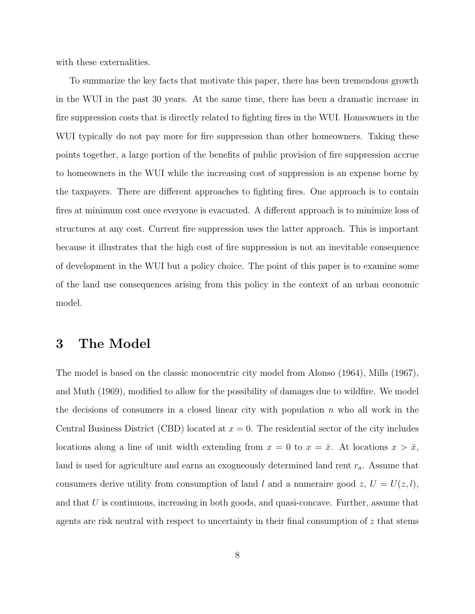with these externalities.

To summarize the key facts that motivate this paper, there has been tremendous growth in the WUI in the past 30 years. At the same time, there has been a dramatic increase in fire suppression costs that is directly related to fighting fires in the WUI. Homeowners in the WUI typically do not pay more for fire suppression than other homeowners. Taking these points together, a large portion of the benefits of public provision of fire suppression accrue to homeowners in the WUI while the increasing cost of suppression is an expense borne by the taxpayers. There are different approaches to fighting fires. One approach is to contain fires at minimum cost once everyone is evacuated. A different approach is to minimize loss of structures at any cost. Current fire suppression uses the latter approach. This is important because it illustrates that the high cost of fire suppression is not an inevitable consequence of development in the WUI but a policy choice. The point of this paper is to examine some of the land use consequences arising from this policy in the context of an urban economic model.

## 3 The Model

The model is based on the classic monocentric city model from Alonso (1964), Mills (1967), and Muth (1969), modified to allow for the possibility of damages due to wildfire. We model the decisions of consumers in a closed linear city with population  $n$  who all work in the Central Business District (CBD) located at  $x = 0$ . The residential sector of the city includes locations along a line of unit width extending from  $x = 0$  to  $x = \bar{x}$ . At locations  $x > \bar{x}$ , land is used for agriculture and earns an exogneously determined land rent  $r_a$ . Assume that consumers derive utility from consumption of land l and a numeraire good z,  $U = U(z, l)$ , and that  $U$  is continuous, increasing in both goods, and quasi-concave. Further, assume that agents are risk neutral with respect to uncertainty in their final consumption of  $z$  that stems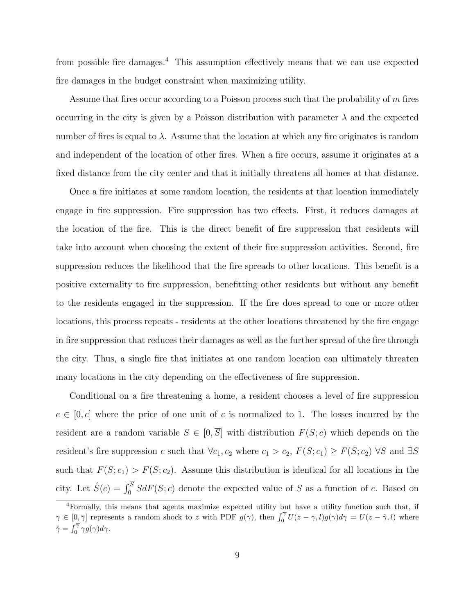from possible fire damages.<sup>4</sup> This assumption effectively means that we can use expected fire damages in the budget constraint when maximizing utility.

Assume that fires occur according to a Poisson process such that the probability of  $m$  fires occurring in the city is given by a Poisson distribution with parameter  $\lambda$  and the expected number of fires is equal to  $\lambda$ . Assume that the location at which any fire originates is random and independent of the location of other fires. When a fire occurs, assume it originates at a fixed distance from the city center and that it initially threatens all homes at that distance.

Once a fire initiates at some random location, the residents at that location immediately engage in fire suppression. Fire suppression has two effects. First, it reduces damages at the location of the fire. This is the direct benefit of fire suppression that residents will take into account when choosing the extent of their fire suppression activities. Second, fire suppression reduces the likelihood that the fire spreads to other locations. This benefit is a positive externality to fire suppression, benefitting other residents but without any benefit to the residents engaged in the suppression. If the fire does spread to one or more other locations, this process repeats - residents at the other locations threatened by the fire engage in fire suppression that reduces their damages as well as the further spread of the fire through the city. Thus, a single fire that initiates at one random location can ultimately threaten many locations in the city depending on the effectiveness of fire suppression.

Conditional on a fire threatening a home, a resident chooses a level of fire suppression  $c \in [0, \bar{c}]$  where the price of one unit of c is normalized to 1. The losses incurred by the resident are a random variable  $S \in [0, \overline{S}]$  with distribution  $F(S; c)$  which depends on the resident's fire suppression c such that  $\forall c_1, c_2$  where  $c_1 > c_2$ ,  $F(S; c_1) \geq F(S; c_2)$   $\forall S$  and  $\exists S$ such that  $F(S; c_1) > F(S; c_2)$ . Assume this distribution is identical for all locations in the city. Let  $\hat{S}(c) = \int_0^S S dF(S; c)$  denote the expected value of S as a function of c. Based on

<sup>4</sup>Formally, this means that agents maximize expected utility but have a utility function such that, if  $\gamma \in [0, \overline{\gamma}]$  represents a random shock to z with PDF  $g(\gamma)$ , then  $\int_0^{\overline{\gamma}} U(z - \gamma, l)g(\gamma)d\gamma = U(z - \hat{\gamma}, l)$  where  $\hat{\gamma} = \int_0^{\overline{\gamma}} \gamma g(\gamma) d\gamma.$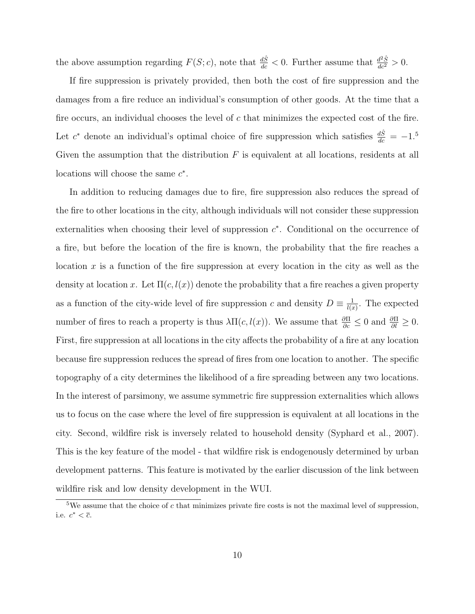the above assumption regarding  $F(S; c)$ , note that  $\frac{d\hat{S}}{dc} < 0$ . Further assume that  $\frac{d^2\hat{S}}{dc^2} > 0$ .

If fire suppression is privately provided, then both the cost of fire suppression and the damages from a fire reduce an individual's consumption of other goods. At the time that a fire occurs, an individual chooses the level of  $c$  that minimizes the expected cost of the fire. Let  $c^*$  denote an individual's optimal choice of fire suppression which satisfies  $\frac{d\hat{S}}{dc} = -1.5$ Given the assumption that the distribution  $F$  is equivalent at all locations, residents at all locations will choose the same  $c^*$ .

In addition to reducing damages due to fire, fire suppression also reduces the spread of the fire to other locations in the city, although individuals will not consider these suppression externalities when choosing their level of suppression  $c^*$ . Conditional on the occurrence of a fire, but before the location of the fire is known, the probability that the fire reaches a location x is a function of the fire suppression at every location in the city as well as the density at location x. Let  $\Pi(c, l(x))$  denote the probability that a fire reaches a given property as a function of the city-wide level of fire suppression c and density  $D \equiv \frac{1}{10}$  $\frac{1}{l(x)}$ . The expected number of fires to reach a property is thus  $\lambda \Pi(c, l(x))$ . We assume that  $\frac{\partial \Pi}{\partial c} \leq 0$  and  $\frac{\partial \Pi}{\partial l} \geq 0$ . First, fire suppression at all locations in the city affects the probability of a fire at any location because fire suppression reduces the spread of fires from one location to another. The specific topography of a city determines the likelihood of a fire spreading between any two locations. In the interest of parsimony, we assume symmetric fire suppression externalities which allows us to focus on the case where the level of fire suppression is equivalent at all locations in the city. Second, wildfire risk is inversely related to household density (Syphard et al., 2007). This is the key feature of the model - that wildfire risk is endogenously determined by urban development patterns. This feature is motivated by the earlier discussion of the link between wildfire risk and low density development in the WUI.

<sup>&</sup>lt;sup>5</sup>We assume that the choice of  $c$  that minimizes private fire costs is not the maximal level of suppression, i.e.  $c^* < \overline{c}$ .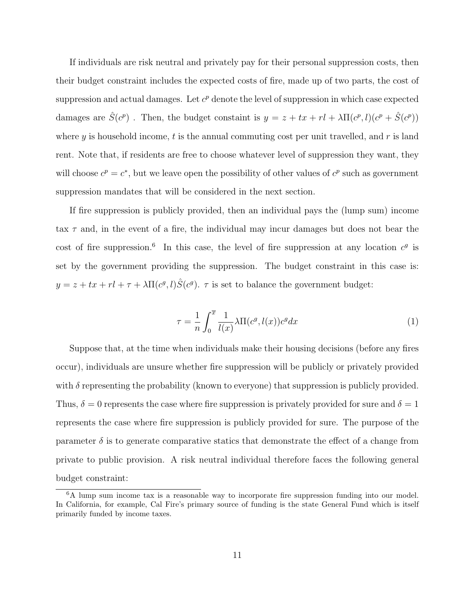If individuals are risk neutral and privately pay for their personal suppression costs, then their budget constraint includes the expected costs of fire, made up of two parts, the cost of suppression and actual damages. Let  $c^p$  denote the level of suppression in which case expected damages are  $\hat{S}(c^p)$ . Then, the budget constaint is  $y = z + tx + rl + \lambda \Pi(c^p, l)(c^p + \hat{S}(c^p))$ where y is household income, t is the annual commuting cost per unit travelled, and  $r$  is land rent. Note that, if residents are free to choose whatever level of suppression they want, they will choose  $c^p = c^*$ , but we leave open the possibility of other values of  $c^p$  such as government suppression mandates that will be considered in the next section.

If fire suppression is publicly provided, then an individual pays the (lump sum) income tax  $\tau$  and, in the event of a fire, the individual may incur damages but does not bear the cost of fire suppression.<sup>6</sup> In this case, the level of fire suppression at any location  $c<sup>g</sup>$  is set by the government providing the suppression. The budget constraint in this case is:  $y = z + tx + rl + \tau + \lambda \Pi(c^g, l)\hat{S}(c^g)$ .  $\tau$  is set to balance the government budget:

$$
\tau = \frac{1}{n} \int_0^{\overline{x}} \frac{1}{l(x)} \lambda \Pi(c^g, l(x)) c^g dx \tag{1}
$$

Suppose that, at the time when individuals make their housing decisions (before any fires occur), individuals are unsure whether fire suppression will be publicly or privately provided with  $\delta$  representing the probability (known to everyone) that suppression is publicly provided. Thus,  $\delta = 0$  represents the case where fire suppression is privately provided for sure and  $\delta = 1$ represents the case where fire suppression is publicly provided for sure. The purpose of the parameter  $\delta$  is to generate comparative statics that demonstrate the effect of a change from private to public provision. A risk neutral individual therefore faces the following general budget constraint:

<sup>&</sup>lt;sup>6</sup>A lump sum income tax is a reasonable way to incorporate fire suppression funding into our model. In California, for example, Cal Fire's primary source of funding is the state General Fund which is itself primarily funded by income taxes.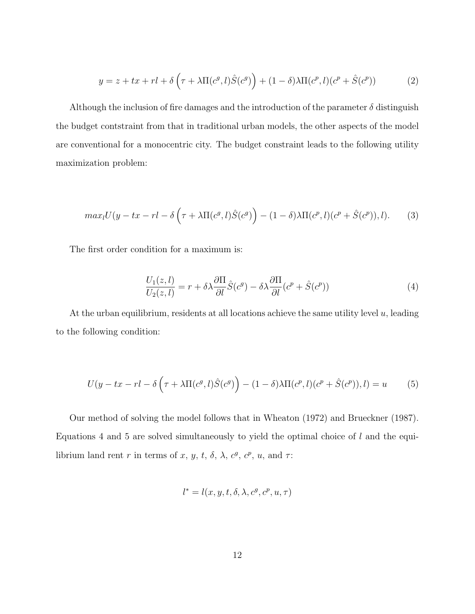$$
y = z + tx + rl + \delta\left(\tau + \lambda \Pi(c^g, l)\hat{S}(c^g)\right) + (1 - \delta)\lambda \Pi(c^g, l)(c^g + \hat{S}(c^g))
$$
(2)

Although the inclusion of fire damages and the introduction of the parameter  $\delta$  distinguish the budget contstraint from that in traditional urban models, the other aspects of the model are conventional for a monocentric city. The budget constraint leads to the following utility maximization problem:

$$
max_{l}U(y - tx - rl - \delta\left(\tau + \lambda\Pi(c^g, l)\hat{S}(c^g)\right) - (1 - \delta)\lambda\Pi(c^p, l)(c^p + \hat{S}(c^p)), l). \tag{3}
$$

The first order condition for a maximum is:

$$
\frac{U_1(z,l)}{U_2(z,l)} = r + \delta\lambda \frac{\partial \Pi}{\partial l} \hat{S}(c^g) - \delta\lambda \frac{\partial \Pi}{\partial l} (c^p + \hat{S}(c^p))
$$
\n(4)

At the urban equilibrium, residents at all locations achieve the same utility level  $u$ , leading to the following condition:

$$
U(y - tx - rl - \delta\left(\tau + \lambda \Pi(c^g, l)\hat{S}(c^g)\right) - (1 - \delta)\lambda \Pi(c^g, l)(c^g + \hat{S}(c^g)), l) = u \tag{5}
$$

Our method of solving the model follows that in Wheaton (1972) and Brueckner (1987). Equations 4 and 5 are solved simultaneously to yield the optimal choice of  $l$  and the equilibrium land rent r in terms of x, y, t,  $\delta$ ,  $\lambda$ ,  $c^g$ ,  $c^p$ , u, and  $\tau$ :

$$
l^* = l(x, y, t, \delta, \lambda, c^g, c^p, u, \tau)
$$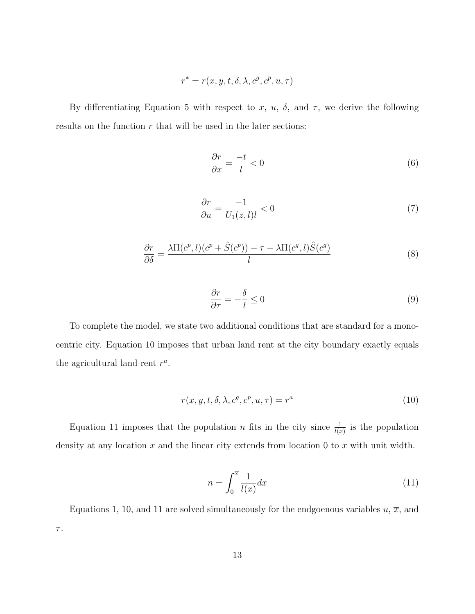$$
r^* = r(x,y,t,\delta,\lambda,c^g,c^p,u,\tau)
$$

By differentiating Equation 5 with respect to x, u,  $\delta$ , and  $\tau$ , we derive the following results on the function  $r$  that will be used in the later sections:

$$
\frac{\partial r}{\partial x} = \frac{-t}{l} < 0\tag{6}
$$

$$
\frac{\partial r}{\partial u} = \frac{-1}{U_1(z,l)l} < 0\tag{7}
$$

$$
\frac{\partial r}{\partial \delta} = \frac{\lambda \Pi(c^p, l)(c^p + \hat{S}(c^p)) - \tau - \lambda \Pi(c^g, l)\hat{S}(c^g)}{l} \tag{8}
$$

$$
\frac{\partial r}{\partial \tau} = -\frac{\delta}{l} \le 0\tag{9}
$$

To complete the model, we state two additional conditions that are standard for a monocentric city. Equation 10 imposes that urban land rent at the city boundary exactly equals the agricultural land rent  $r^a$ .

$$
r(\overline{x}, y, t, \delta, \lambda, c^g, c^p, u, \tau) = r^a \tag{10}
$$

Equation 11 imposes that the population *n* fits in the city since  $\frac{1}{l(x)}$  is the population density at any location x and the linear city extends from location 0 to  $\bar{x}$  with unit width.

$$
n = \int_0^{\overline{x}} \frac{1}{l(x)} dx \tag{11}
$$

Equations 1, 10, and 11 are solved simultaneously for the endgoenous variables  $u, \overline{x}$ , and  $\tau.$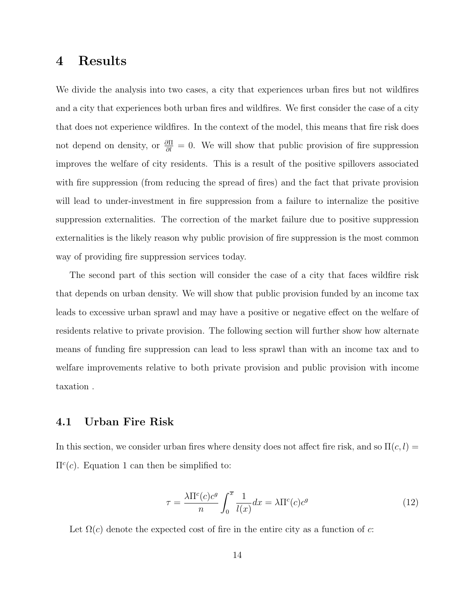### 4 Results

We divide the analysis into two cases, a city that experiences urban fires but not wildfires and a city that experiences both urban fires and wildfires. We first consider the case of a city that does not experience wildfires. In the context of the model, this means that fire risk does not depend on density, or  $\frac{\partial \Pi}{\partial l} = 0$ . We will show that public provision of fire suppression improves the welfare of city residents. This is a result of the positive spillovers associated with fire suppression (from reducing the spread of fires) and the fact that private provision will lead to under-investment in fire suppression from a failure to internalize the positive suppression externalities. The correction of the market failure due to positive suppression externalities is the likely reason why public provision of fire suppression is the most common way of providing fire suppression services today.

The second part of this section will consider the case of a city that faces wildfire risk that depends on urban density. We will show that public provision funded by an income tax leads to excessive urban sprawl and may have a positive or negative effect on the welfare of residents relative to private provision. The following section will further show how alternate means of funding fire suppression can lead to less sprawl than with an income tax and to welfare improvements relative to both private provision and public provision with income taxation .

#### 4.1 Urban Fire Risk

In this section, we consider urban fires where density does not affect fire risk, and so  $\Pi(c, l)$  $\Pi^c(c)$ . Equation 1 can then be simplified to:

$$
\tau = \frac{\lambda \Pi^c(c)c^g}{n} \int_0^{\overline{x}} \frac{1}{l(x)} dx = \lambda \Pi^c(c)c^g
$$
\n(12)

Let  $\Omega(c)$  denote the expected cost of fire in the entire city as a function of c: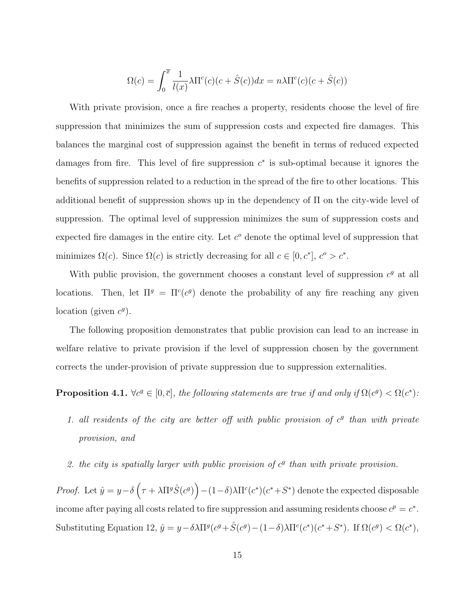$$
\Omega(c) = \int_0^{\overline{x}} \frac{1}{l(x)} \lambda \Pi^c(c) (c + \hat{S}(c)) dx = n\lambda \Pi^c(c) (c + \hat{S}(c))
$$

With private provision, once a fire reaches a property, residents choose the level of fire suppression that minimizes the sum of suppression costs and expected fire damages. This balances the marginal cost of suppression against the benefit in terms of reduced expected damages from fire. This level of fire suppression  $c^*$  is sub-optimal because it ignores the benefits of suppression related to a reduction in the spread of the fire to other locations. This additional benefit of suppression shows up in the dependency of  $\Pi$  on the city-wide level of suppression. The optimal level of suppression minimizes the sum of suppression costs and expected fire damages in the entire city. Let  $c<sup>o</sup>$  denote the optimal level of suppression that minimizes  $\Omega(c)$ . Since  $\Omega(c)$  is strictly decreasing for all  $c \in [0, c^*], c^o > c^*$ .

With public provision, the government chooses a constant level of suppression  $c<sup>g</sup>$  at all locations. Then, let  $\Pi^g = \Pi^c(c^g)$  denote the probability of any fire reaching any given location (given  $c^g$ ).

The following proposition demonstrates that public provision can lead to an increase in welfare relative to private provision if the level of suppression chosen by the government corrects the under-provision of private suppression due to suppression externalities.

**Proposition 4.1.**  $\forall c^g \in [0, \overline{c}],$  the following statements are true if and only if  $\Omega(c^g) < \Omega(c^*)$ :

- 1. all residents of the city are better off with public provision of  $c<sup>g</sup>$  than with private provision, and
- 2. the city is spatially larger with public provision of  $c<sup>g</sup>$  than with private provision.

Proof. Let  $\hat{y} = y - \delta \left( \tau + \lambda \Pi^g \hat{S}(c^g) \right) - (1 - \delta) \lambda \Pi^c(c^*)(c^* + S^*)$  denote the expected disposable income after paying all costs related to fire suppression and assuming residents choose  $c^p = c^*$ . Substituting Equation 12,  $\hat{y} = y - \delta \lambda \Pi^{g} (c^{g} + \hat{S}(c^{g}) - (1 - \delta) \lambda \Pi^{c}(c^{*})(c^{*} + S^{*})$ . If  $\Omega(c^{g}) < \Omega(c^{*}),$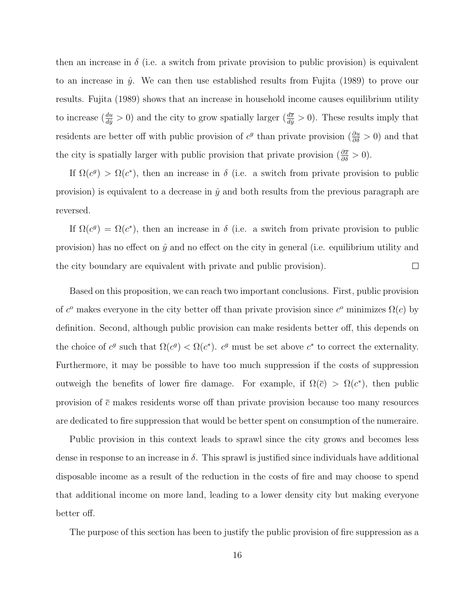then an increase in  $\delta$  (i.e. a switch from private provision to public provision) is equivalent to an increase in  $\hat{y}$ . We can then use established results from Fujita (1989) to prove our results. Fujita (1989) shows that an increase in household income causes equilibrium utility to increase  $(\frac{du}{d\hat{y}} > 0)$  and the city to grow spatially larger  $(\frac{d\overline{x}}{d\hat{y}} > 0)$ . These results imply that residents are better off with public provision of  $c^g$  than private provision  $(\frac{\partial u}{\partial \delta} > 0)$  and that the city is spatially larger with public provision that private provision  $(\frac{\partial \overline{x}}{\partial \delta} > 0)$ .

If  $\Omega(c^g) > \Omega(c^*)$ , then an increase in  $\delta$  (i.e. a switch from private provision to public provision) is equivalent to a decrease in  $\hat{y}$  and both results from the previous paragraph are reversed.

If  $\Omega(c^g) = \Omega(c^*)$ , then an increase in  $\delta$  (i.e. a switch from private provision to public provision) has no effect on  $\hat{y}$  and no effect on the city in general (i.e. equilibrium utility and the city boundary are equivalent with private and public provision).  $\Box$ 

Based on this proposition, we can reach two important conclusions. First, public provision of  $c^o$  makes everyone in the city better off than private provision since  $c^o$  minimizes  $\Omega(c)$  by definition. Second, although public provision can make residents better off, this depends on the choice of  $c^g$  such that  $\Omega(c^g) < \Omega(c^*)$ .  $c^g$  must be set above  $c^*$  to correct the externality. Furthermore, it may be possible to have too much suppression if the costs of suppression outweigh the benefits of lower fire damage. For example, if  $\Omega(\bar{c}) > \Omega(c^*)$ , then public provision of  $\bar{c}$  makes residents worse off than private provision because too many resources are dedicated to fire suppression that would be better spent on consumption of the numeraire.

Public provision in this context leads to sprawl since the city grows and becomes less dense in response to an increase in  $\delta$ . This sprawl is justified since individuals have additional disposable income as a result of the reduction in the costs of fire and may choose to spend that additional income on more land, leading to a lower density city but making everyone better off.

The purpose of this section has been to justify the public provision of fire suppression as a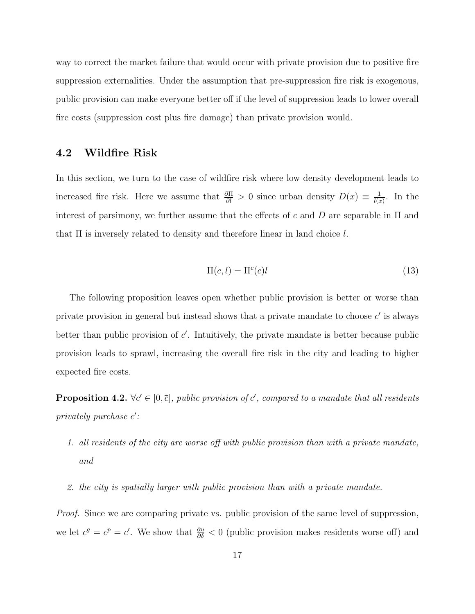way to correct the market failure that would occur with private provision due to positive fire suppression externalities. Under the assumption that pre-suppression fire risk is exogenous, public provision can make everyone better off if the level of suppression leads to lower overall fire costs (suppression cost plus fire damage) than private provision would.

### 4.2 Wildfire Risk

In this section, we turn to the case of wildfire risk where low density development leads to increased fire risk. Here we assume that  $\frac{\partial \Pi}{\partial l} > 0$  since urban density  $D(x) \equiv \frac{1}{l(x)}$  $\frac{1}{l(x)}$ . In the interest of parsimony, we further assume that the effects of c and D are separable in  $\Pi$  and that  $\Pi$  is inversely related to density and therefore linear in land choice  $l$ .

$$
\Pi(c, l) = \Pi^c(c)l \tag{13}
$$

The following proposition leaves open whether public provision is better or worse than private provision in general but instead shows that a private mandate to choose  $c'$  is always better than public provision of  $c'$ . Intuitively, the private mandate is better because public provision leads to sprawl, increasing the overall fire risk in the city and leading to higher expected fire costs.

**Proposition 4.2.**  $\forall c \in [0, \bar{c}],$  public provision of c', compared to a mandate that all residents  $\text{privately purchase } c':$ 

- 1. all residents of the city are worse off with public provision than with a private mandate, and
- 2. the city is spatially larger with public provision than with a private mandate.

Proof. Since we are comparing private vs. public provision of the same level of suppression, we let  $c^g = c^p = c'$ . We show that  $\frac{\partial u}{\partial \delta} < 0$  (public provision makes residents worse off) and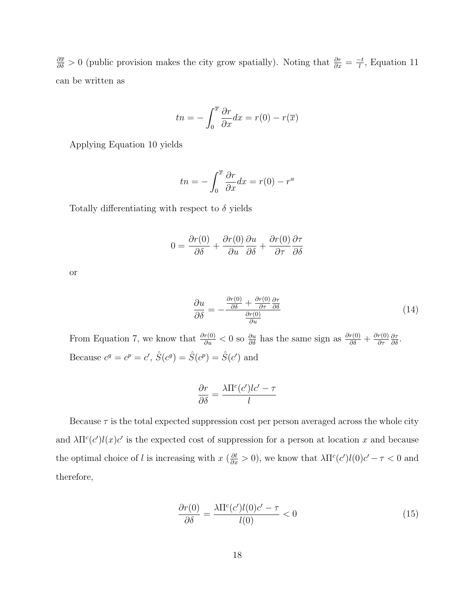$\frac{\partial \bar{x}}{\partial \delta} > 0$  (public provision makes the city grow spatially). Noting that  $\frac{\partial r}{\partial x} = \frac{-t}{l}$  $\frac{1}{l}$ , Equation 11 can be written as

$$
tn = -\int_0^{\overline{x}} \frac{\partial r}{\partial x} dx = r(0) - r(\overline{x})
$$

Applying Equation 10 yields

$$
tn = -\int_0^{\overline{x}} \frac{\partial r}{\partial x} dx = r(0) - r^a
$$

Totally differentiating with respect to  $\delta$  yields

$$
0 = \frac{\partial r(0)}{\partial \delta} + \frac{\partial r(0)}{\partial u} \frac{\partial u}{\partial \delta} + \frac{\partial r(0)}{\partial \tau} \frac{\partial \tau}{\partial \delta}
$$

or

$$
\frac{\partial u}{\partial \delta} = -\frac{\frac{\partial r(0)}{\partial \delta} + \frac{\partial r(0)}{\partial \tau} \frac{\partial \tau}{\partial \delta}}{\frac{\partial r(0)}{\partial u}}
$$
(14)

From Equation 7, we know that  $\frac{\partial r(0)}{\partial u} < 0$  so  $\frac{\partial u}{\partial \delta}$  has the same sign as  $\frac{\partial r(0)}{\partial \delta} + \frac{\partial r(0)}{\partial \tau}$ ∂τ  $\frac{\partial \tau}{\partial \delta}.$ Because  $c^g = c^p = c'$ ,  $\hat{S}(c^g) = \hat{S}(c^p) = \hat{S}(c')$  and

$$
\frac{\partial r}{\partial \delta} = \frac{\lambda \Pi^c(c')lc' - \tau}{l}
$$

Because  $\tau$  is the total expected suppression cost per person averaged across the whole city and  $\lambda \Pi^c(c')l(x)c'$  is the expected cost of suppression for a person at location x and because the optimal choice of l is increasing with  $x \left( \frac{\partial l}{\partial x} > 0 \right)$ , we know that  $\lambda \Pi^c(c') l(0) c' - \tau < 0$  and therefore,

$$
\frac{\partial r(0)}{\partial \delta} = \frac{\lambda \Pi^c(c')l(0)c' - \tau}{l(0)} < 0 \tag{15}
$$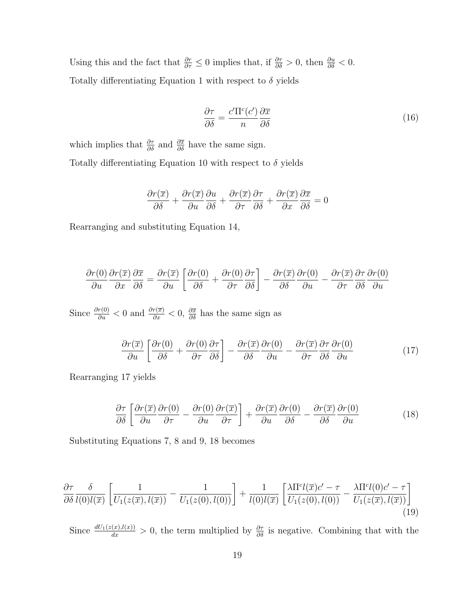Using this and the fact that  $\frac{\partial r}{\partial \tau} \leq 0$  implies that, if  $\frac{\partial \tau}{\partial \delta} > 0$ , then  $\frac{\partial u}{\partial \delta} < 0$ . Totally differentiating Equation 1 with respect to  $\delta$  yields

$$
\frac{\partial \tau}{\partial \delta} = \frac{c' \Pi^c(c')}{n} \frac{\partial \overline{x}}{\partial \delta} \tag{16}
$$

which implies that  $\frac{\partial \tau}{\partial \delta}$  and  $\frac{\partial \overline{x}}{\partial \delta}$  have the same sign. Totally differentiating Equation 10 with respect to  $\delta$  yields

$$
\frac{\partial r(\overline{x})}{\partial \delta} + \frac{\partial r(\overline{x})}{\partial u} \frac{\partial u}{\partial \delta} + \frac{\partial r(\overline{x})}{\partial \tau} \frac{\partial \tau}{\partial \delta} + \frac{\partial r(\overline{x})}{\partial x} \frac{\partial \overline{x}}{\partial \delta} = 0
$$

Rearranging and substituting Equation 14,

$$
\frac{\partial r(0)}{\partial u}\frac{\partial r(\overline{x})}{\partial x}\frac{\partial \overline{x}}{\partial \delta} = \frac{\partial r(\overline{x})}{\partial u}\left[\frac{\partial r(0)}{\partial \delta} + \frac{\partial r(0)}{\partial \tau}\frac{\partial \tau}{\partial \delta}\right] - \frac{\partial r(\overline{x})}{\partial \delta}\frac{\partial r(0)}{\partial u} - \frac{\partial r(\overline{x})}{\partial \tau}\frac{\partial \tau}{\partial \delta}\frac{\partial r(0)}{\partial u}
$$

Since  $\frac{\partial r(0)}{\partial u} < 0$  and  $\frac{\partial r(\overline{x})}{\partial x} < 0$ ,  $\frac{\partial \overline{x}}{\partial \delta}$  has the same sign as

$$
\frac{\partial r(\overline{x})}{\partial u} \left[ \frac{\partial r(0)}{\partial \delta} + \frac{\partial r(0)}{\partial \tau} \frac{\partial \tau}{\partial \delta} \right] - \frac{\partial r(\overline{x})}{\partial \delta} \frac{\partial r(0)}{\partial u} - \frac{\partial r(\overline{x})}{\partial \tau} \frac{\partial \tau}{\partial \delta} \frac{\partial r(0)}{\partial u} \tag{17}
$$

Rearranging 17 yields

$$
\frac{\partial \tau}{\partial \delta} \left[ \frac{\partial r(\overline{x})}{\partial u} \frac{\partial r(0)}{\partial \tau} - \frac{\partial r(0)}{\partial u} \frac{\partial r(\overline{x})}{\partial \tau} \right] + \frac{\partial r(\overline{x})}{\partial u} \frac{\partial r(0)}{\partial \delta} - \frac{\partial r(\overline{x})}{\partial \delta} \frac{\partial r(0)}{\partial u} \tag{18}
$$

Substituting Equations 7, 8 and 9, 18 becomes

$$
\frac{\partial \tau}{\partial \delta} \frac{\delta}{l(0)l(\overline{x})} \left[ \frac{1}{U_1(z(\overline{x}), l(\overline{x}))} - \frac{1}{U_1(z(0), l(0))} \right] + \frac{1}{l(0)l(\overline{x})} \left[ \frac{\lambda \Pi^c l(\overline{x})c' - \tau}{U_1(z(0), l(0))} - \frac{\lambda \Pi^c l(0)c' - \tau}{U_1(z(\overline{x}), l(\overline{x}))} \right] \tag{19}
$$

Since  $\frac{dU_1(z(x),l(x))}{dx} > 0$ , the term multiplied by  $\frac{\partial \tau}{\partial \delta}$  is negative. Combining that with the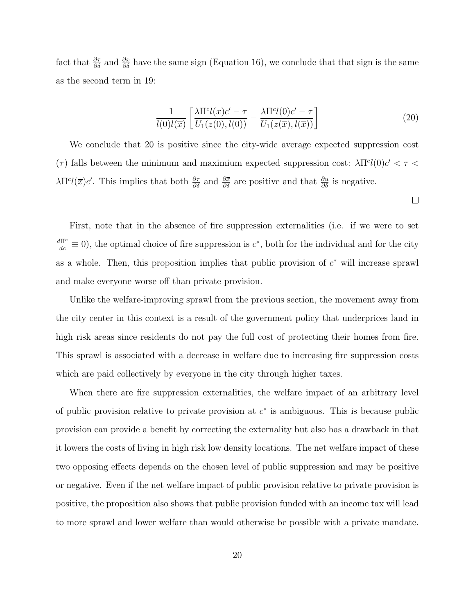fact that  $\frac{\partial \tau}{\partial \delta}$  and  $\frac{\partial \overline{x}}{\partial \delta}$  have the same sign (Equation 16), we conclude that that sign is the same as the second term in 19:

$$
\frac{1}{l(0)l(\overline{x})} \left[ \frac{\lambda \Pi^c l(\overline{x})c' - \tau}{U_1(z(0), l(0))} - \frac{\lambda \Pi^c l(0)c' - \tau}{U_1(z(\overline{x}), l(\overline{x}))} \right]
$$
(20)

We conclude that 20 is positive since the city-wide average expected suppression cost (τ) falls between the minimum and maximium expected suppression cost:  $\lambda \Pi^{cl}(0)c' < \tau$  $\lambda \Pi^c l(\overline{x}) c'$ . This implies that both  $\frac{\partial \tau}{\partial \delta}$  and  $\frac{\partial \overline{x}}{\partial \delta}$  are positive and that  $\frac{\partial u}{\partial \delta}$  is negative.

 $\Box$ 

First, note that in the absence of fire suppression externalities (i.e. if we were to set  $\frac{d\Pi^c}{dc} \equiv 0$ , the optimal choice of fire suppression is  $c^*$ , both for the individual and for the city as a whole. Then, this proposition implies that public provision of  $c^*$  will increase sprawl and make everyone worse off than private provision.

Unlike the welfare-improving sprawl from the previous section, the movement away from the city center in this context is a result of the government policy that underprices land in high risk areas since residents do not pay the full cost of protecting their homes from fire. This sprawl is associated with a decrease in welfare due to increasing fire suppression costs which are paid collectively by everyone in the city through higher taxes.

When there are fire suppression externalities, the welfare impact of an arbitrary level of public provision relative to private provision at  $c^*$  is ambiguous. This is because public provision can provide a benefit by correcting the externality but also has a drawback in that it lowers the costs of living in high risk low density locations. The net welfare impact of these two opposing effects depends on the chosen level of public suppression and may be positive or negative. Even if the net welfare impact of public provision relative to private provision is positive, the proposition also shows that public provision funded with an income tax will lead to more sprawl and lower welfare than would otherwise be possible with a private mandate.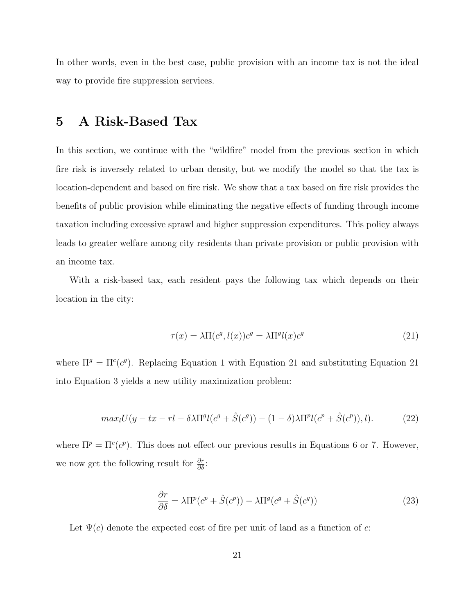In other words, even in the best case, public provision with an income tax is not the ideal way to provide fire suppression services.

### 5 A Risk-Based Tax

In this section, we continue with the "wildfire" model from the previous section in which fire risk is inversely related to urban density, but we modify the model so that the tax is location-dependent and based on fire risk. We show that a tax based on fire risk provides the benefits of public provision while eliminating the negative effects of funding through income taxation including excessive sprawl and higher suppression expenditures. This policy always leads to greater welfare among city residents than private provision or public provision with an income tax.

With a risk-based tax, each resident pays the following tax which depends on their location in the city:

$$
\tau(x) = \lambda \Pi(c^g, l(x))c^g = \lambda \Pi^g l(x)c^g \tag{21}
$$

where  $\Pi^g = \Pi^c(c^g)$ . Replacing Equation 1 with Equation 21 and substituting Equation 21 into Equation 3 yields a new utility maximization problem:

$$
max_{l}U(y - tx - rl - \delta\lambda \Pi^{g}(c^{g} + \hat{S}(c^{g})) - (1 - \delta)\lambda \Pi^{p}(c^{p} + \hat{S}(c^{p})), l). \tag{22}
$$

where  $\Pi^p = \Pi^c(c^p)$ . This does not effect our previous results in Equations 6 or 7. However, we now get the following result for  $\frac{\partial r}{\partial \delta}$ :

$$
\frac{\partial r}{\partial \delta} = \lambda \Pi^p (c^p + \hat{S}(c^p)) - \lambda \Pi^g (c^g + \hat{S}(c^g)) \tag{23}
$$

Let  $\Psi(c)$  denote the expected cost of fire per unit of land as a function of c: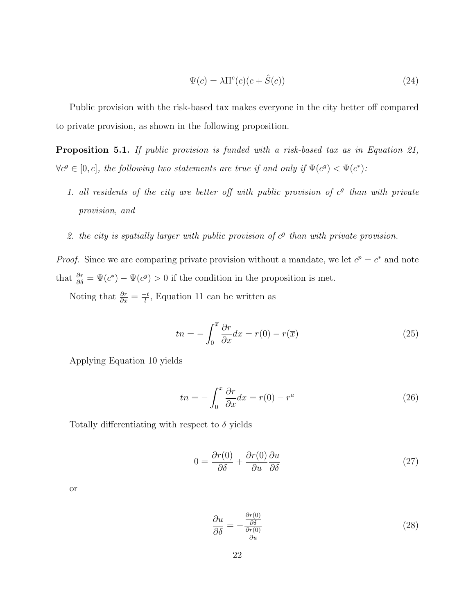$$
\Psi(c) = \lambda \Pi^{c}(c)(c + \hat{S}(c))
$$
\n(24)

Public provision with the risk-based tax makes everyone in the city better off compared to private provision, as shown in the following proposition.

Proposition 5.1. If public provision is funded with a risk-based tax as in Equation 21,  $\forall c^g \in [0,\bar{c}],$  the following two statements are true if and only if  $\Psi(c^g) < \Psi(c^*)$ :

- 1. all residents of the city are better off with public provision of  $c<sup>g</sup>$  than with private provision, and
- 2. the city is spatially larger with public provision of  $c<sup>g</sup>$  than with private provision.

*Proof.* Since we are comparing private provision without a mandate, we let  $c^p = c^*$  and note that  $\frac{\partial r}{\partial \delta} = \Psi(c^*) - \Psi(c^g) > 0$  if the condition in the proposition is met.

Noting that  $\frac{\partial r}{\partial x} = \frac{-t}{l}$  $\frac{1}{l}$ , Equation 11 can be written as

$$
tn = -\int_0^{\overline{x}} \frac{\partial r}{\partial x} dx = r(0) - r(\overline{x})
$$
\n(25)

Applying Equation 10 yields

$$
tn = -\int_0^{\overline{x}} \frac{\partial r}{\partial x} dx = r(0) - r^a \tag{26}
$$

Totally differentiating with respect to  $\delta$  yields

$$
0 = \frac{\partial r(0)}{\partial \delta} + \frac{\partial r(0)}{\partial u} \frac{\partial u}{\partial \delta}
$$
\n(27)

or

$$
\frac{\partial u}{\partial \delta} = -\frac{\frac{\partial r(0)}{\partial \delta}}{\frac{\partial r(0)}{\partial u}}\tag{28}
$$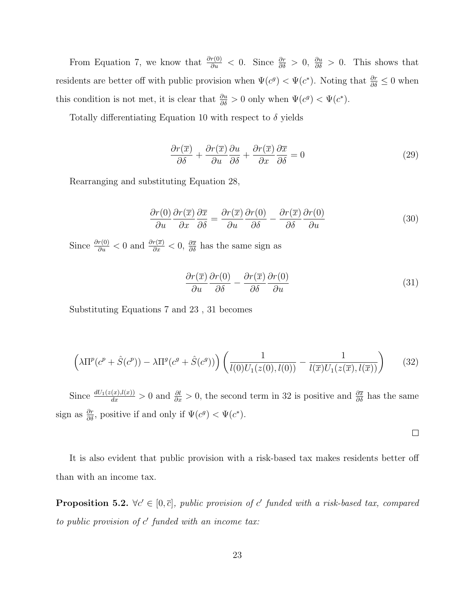From Equation 7, we know that  $\frac{\partial r(0)}{\partial u} < 0$ . Since  $\frac{\partial r}{\partial \delta} > 0$ ,  $\frac{\partial u}{\partial \delta} > 0$ . This shows that residents are better off with public provision when  $\Psi(c^g) < \Psi(c^*)$ . Noting that  $\frac{\partial r}{\partial \delta} \leq 0$  when this condition is not met, it is clear that  $\frac{\partial u}{\partial \delta} > 0$  only when  $\Psi(c^g) < \Psi(c^*)$ .

Totally differentiating Equation 10 with respect to  $\delta$  yields

$$
\frac{\partial r(\overline{x})}{\partial \delta} + \frac{\partial r(\overline{x})}{\partial u} \frac{\partial u}{\partial \delta} + \frac{\partial r(\overline{x})}{\partial x} \frac{\partial \overline{x}}{\partial \delta} = 0
$$
\n(29)

Rearranging and substituting Equation 28,

$$
\frac{\partial r(0)}{\partial u}\frac{\partial r(\overline{x})}{\partial x}\frac{\partial \overline{x}}{\partial \delta} = \frac{\partial r(\overline{x})}{\partial u}\frac{\partial r(0)}{\partial \delta} - \frac{\partial r(\overline{x})}{\partial \delta}\frac{\partial r(0)}{\partial u}
$$
(30)

Since  $\frac{\partial r(0)}{\partial u} < 0$  and  $\frac{\partial r(\overline{x})}{\partial x} < 0$ ,  $\frac{\partial \overline{x}}{\partial \delta}$  has the same sign as

$$
\frac{\partial r(\overline{x})}{\partial u} \frac{\partial r(0)}{\partial \delta} - \frac{\partial r(\overline{x})}{\partial \delta} \frac{\partial r(0)}{\partial u} \tag{31}
$$

 $\Box$ 

Substituting Equations 7 and 23 , 31 becomes

$$
\left(\lambda \Pi^p(c^p + \hat{S}(c^p)) - \lambda \Pi^g(c^g + \hat{S}(c^g))\right) \left(\frac{1}{l(0)U_1(z(0),l(0))} - \frac{1}{l(\overline{x})U_1(z(\overline{x}),l(\overline{x}))}\right) \tag{32}
$$

Since  $\frac{dU_1(z(x),l(x))}{dx} > 0$  and  $\frac{\partial l}{\partial x} > 0$ , the second term in 32 is positive and  $\frac{\partial \overline{x}}{\partial \delta}$  has the same sign as  $\frac{\partial r}{\partial \delta}$ , positive if and only if  $\Psi(c^g) < \Psi(c^*)$ .

It is also evident that public provision with a risk-based tax makes residents better off than with an income tax.

**Proposition 5.2.**  $\forall c' \in [0, \overline{c}]$ , public provision of c' funded with a risk-based tax, compared to public provision of  $c'$  funded with an income tax: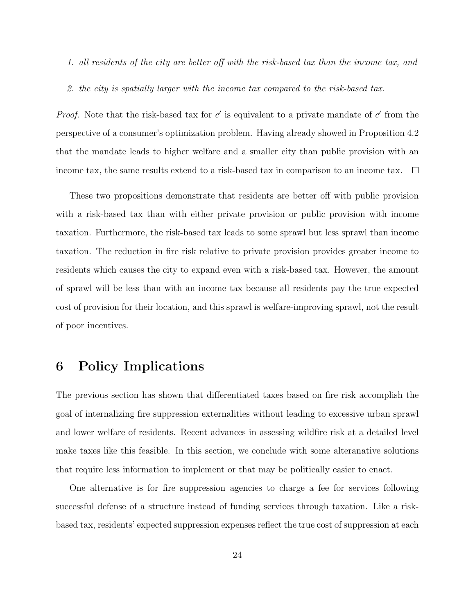- 1. all residents of the city are better off with the risk-based tax than the income tax, and
- 2. the city is spatially larger with the income tax compared to the risk-based tax.

*Proof.* Note that the risk-based tax for  $c'$  is equivalent to a private mandate of  $c'$  from the perspective of a consumer's optimization problem. Having already showed in Proposition 4.2 that the mandate leads to higher welfare and a smaller city than public provision with an income tax, the same results extend to a risk-based tax in comparison to an income tax.  $\Box$ 

These two propositions demonstrate that residents are better off with public provision with a risk-based tax than with either private provision or public provision with income taxation. Furthermore, the risk-based tax leads to some sprawl but less sprawl than income taxation. The reduction in fire risk relative to private provision provides greater income to residents which causes the city to expand even with a risk-based tax. However, the amount of sprawl will be less than with an income tax because all residents pay the true expected cost of provision for their location, and this sprawl is welfare-improving sprawl, not the result of poor incentives.

## 6 Policy Implications

The previous section has shown that differentiated taxes based on fire risk accomplish the goal of internalizing fire suppression externalities without leading to excessive urban sprawl and lower welfare of residents. Recent advances in assessing wildfire risk at a detailed level make taxes like this feasible. In this section, we conclude with some alteranative solutions that require less information to implement or that may be politically easier to enact.

One alternative is for fire suppression agencies to charge a fee for services following successful defense of a structure instead of funding services through taxation. Like a riskbased tax, residents' expected suppression expenses reflect the true cost of suppression at each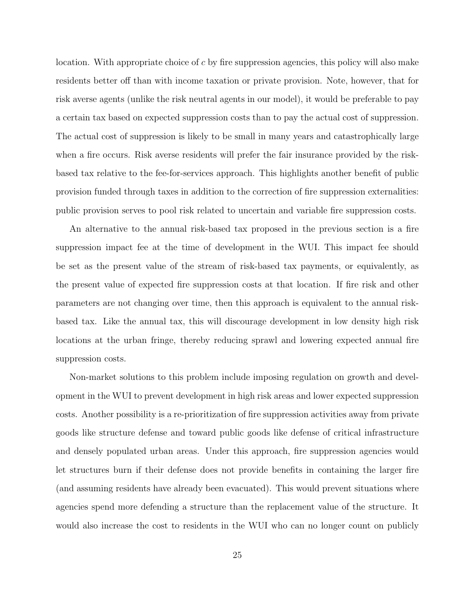location. With appropriate choice of c by fire suppression agencies, this policy will also make residents better off than with income taxation or private provision. Note, however, that for risk averse agents (unlike the risk neutral agents in our model), it would be preferable to pay a certain tax based on expected suppression costs than to pay the actual cost of suppression. The actual cost of suppression is likely to be small in many years and catastrophically large when a fire occurs. Risk averse residents will prefer the fair insurance provided by the riskbased tax relative to the fee-for-services approach. This highlights another benefit of public provision funded through taxes in addition to the correction of fire suppression externalities: public provision serves to pool risk related to uncertain and variable fire suppression costs.

An alternative to the annual risk-based tax proposed in the previous section is a fire suppression impact fee at the time of development in the WUI. This impact fee should be set as the present value of the stream of risk-based tax payments, or equivalently, as the present value of expected fire suppression costs at that location. If fire risk and other parameters are not changing over time, then this approach is equivalent to the annual riskbased tax. Like the annual tax, this will discourage development in low density high risk locations at the urban fringe, thereby reducing sprawl and lowering expected annual fire suppression costs.

Non-market solutions to this problem include imposing regulation on growth and development in the WUI to prevent development in high risk areas and lower expected suppression costs. Another possibility is a re-prioritization of fire suppression activities away from private goods like structure defense and toward public goods like defense of critical infrastructure and densely populated urban areas. Under this approach, fire suppression agencies would let structures burn if their defense does not provide benefits in containing the larger fire (and assuming residents have already been evacuated). This would prevent situations where agencies spend more defending a structure than the replacement value of the structure. It would also increase the cost to residents in the WUI who can no longer count on publicly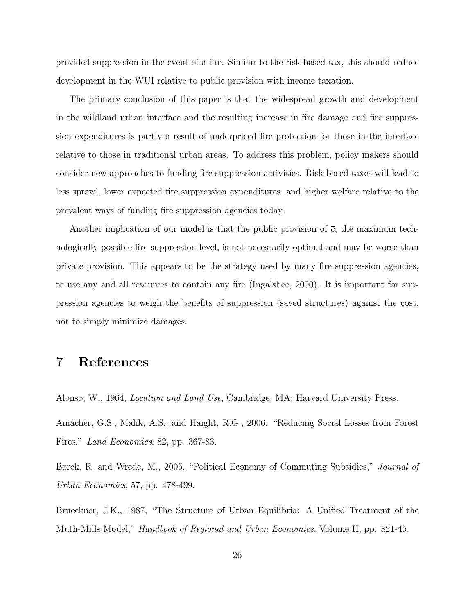provided suppression in the event of a fire. Similar to the risk-based tax, this should reduce development in the WUI relative to public provision with income taxation.

The primary conclusion of this paper is that the widespread growth and development in the wildland urban interface and the resulting increase in fire damage and fire suppression expenditures is partly a result of underpriced fire protection for those in the interface relative to those in traditional urban areas. To address this problem, policy makers should consider new approaches to funding fire suppression activities. Risk-based taxes will lead to less sprawl, lower expected fire suppression expenditures, and higher welfare relative to the prevalent ways of funding fire suppression agencies today.

Another implication of our model is that the public provision of  $\bar{c}$ , the maximum technologically possible fire suppression level, is not necessarily optimal and may be worse than private provision. This appears to be the strategy used by many fire suppression agencies, to use any and all resources to contain any fire (Ingalsbee, 2000). It is important for suppression agencies to weigh the benefits of suppression (saved structures) against the cost, not to simply minimize damages.

### 7 References

Alonso, W., 1964, Location and Land Use, Cambridge, MA: Harvard University Press.

Amacher, G.S., Malik, A.S., and Haight, R.G., 2006. "Reducing Social Losses from Forest Fires." Land Economics, 82, pp. 367-83.

Borck, R. and Wrede, M., 2005, "Political Economy of Commuting Subsidies," Journal of Urban Economics, 57, pp. 478-499.

Brueckner, J.K., 1987, "The Structure of Urban Equilibria: A Unified Treatment of the Muth-Mills Model," Handbook of Regional and Urban Economics, Volume II, pp. 821-45.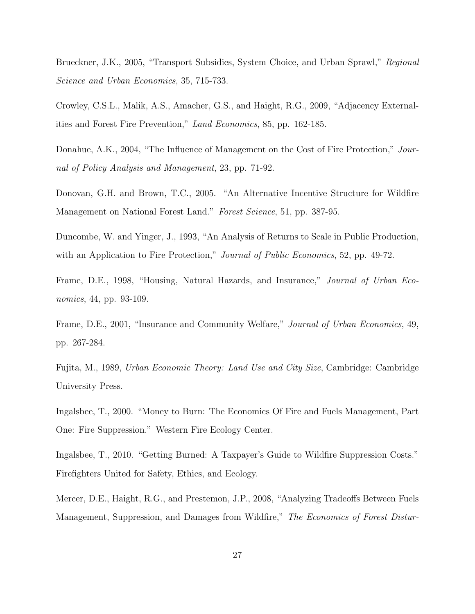Brueckner, J.K., 2005, "Transport Subsidies, System Choice, and Urban Sprawl," Regional Science and Urban Economics, 35, 715-733.

Crowley, C.S.L., Malik, A.S., Amacher, G.S., and Haight, R.G., 2009, "Adjacency Externalities and Forest Fire Prevention," Land Economics, 85, pp. 162-185.

Donahue, A.K., 2004, "The Influence of Management on the Cost of Fire Protection," Journal of Policy Analysis and Management, 23, pp. 71-92.

Donovan, G.H. and Brown, T.C., 2005. "An Alternative Incentive Structure for Wildfire Management on National Forest Land." Forest Science, 51, pp. 387-95.

Duncombe, W. and Yinger, J., 1993, "An Analysis of Returns to Scale in Public Production, with an Application to Fire Protection," Journal of Public Economics, 52, pp. 49-72.

Frame, D.E., 1998, "Housing, Natural Hazards, and Insurance," Journal of Urban Economics, 44, pp. 93-109.

Frame, D.E., 2001, "Insurance and Community Welfare," Journal of Urban Economics, 49, pp. 267-284.

Fujita, M., 1989, Urban Economic Theory: Land Use and City Size, Cambridge: Cambridge University Press.

Ingalsbee, T., 2000. "Money to Burn: The Economics Of Fire and Fuels Management, Part One: Fire Suppression." Western Fire Ecology Center.

Ingalsbee, T., 2010. "Getting Burned: A Taxpayer's Guide to Wildfire Suppression Costs." Firefighters United for Safety, Ethics, and Ecology.

Mercer, D.E., Haight, R.G., and Prestemon, J.P., 2008, "Analyzing Tradeoffs Between Fuels Management, Suppression, and Damages from Wildfire," The Economics of Forest Distur